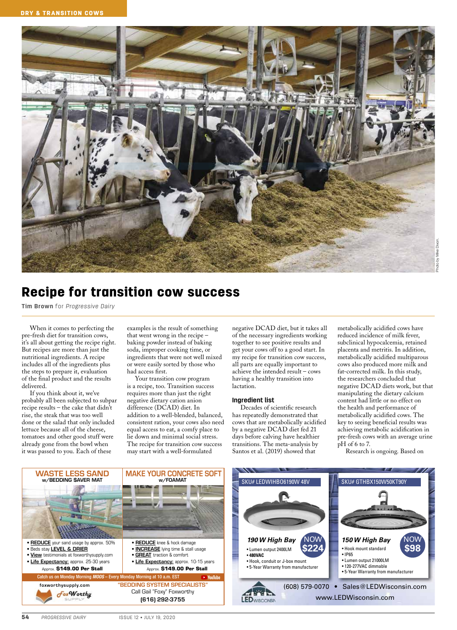

# Recipe for transition cow success

**Tim Brown** for *Progressive Dairy*

When it comes to perfecting the pre-fresh diet for transition cows, it's all about getting the recipe right. But recipes are more than just the nutritional ingredients. A recipe includes all of the ingredients plus the steps to prepare it, evaluation of the final product and the results delivered.

If you think about it, we've probably all been subjected to subpar recipe results – the cake that didn't rise, the steak that was too well done or the salad that only included lettuce because all of the cheese, tomatoes and other good stuff were already gone from the bowl when it was passed to you. Each of these

examples is the result of something that went wrong in the recipe – baking powder instead of baking soda, improper cooking time, or ingredients that were not well mixed or were easily sorted by those who had access first.

Your transition cow program is a recipe, too. Transition success requires more than just the right negative dietary cation anion difference (DCAD) diet. In addition to a well-blended, balanced, consistent ration, your cows also need equal access to eat, a comfy place to lie down and minimal social stress. The recipe for transition cow success may start with a well-formulated

negative DCAD diet, but it takes all of the necessary ingredients working together to see positive results and get your cows off to a good start. In my recipe for transition cow success, all parts are equally important to achieve the intended result – cows having a healthy transition into lactation.

#### **Ingredient list**

Decades of scientific research has repeatedly demonstrated that cows that are metabolically acidified by a negative DCAD diet fed 21 days before calving have healthier transitions. The meta-analysis by Santos et al. (2019) showed that

metabolically acidified cows have reduced incidence of milk fever, subclinical hypocalcemia, retained placenta and metritis. In addition, metabolically acidified multiparous cows also produced more milk and fat-corrected milk. In this study, the researchers concluded that negative DCAD diets work, but that manipulating the dietary calcium content had little or no effect on the health and performance of metabolically acidified cows. The key to seeing beneficial results was achieving metabolic acidification in pre-fresh cows with an average urine pH of 6 to 7.

Research is ongoing. Based on